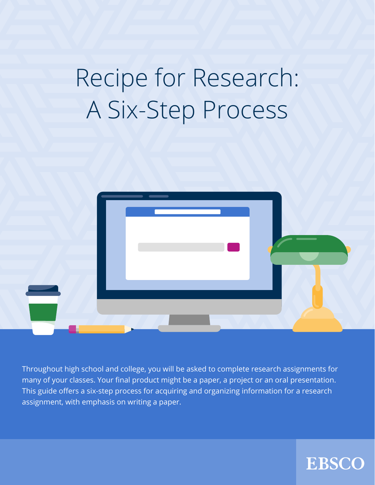# Recipe for Research: A Six-Step Process



Throughout high school and college, you will be asked to complete research assignments for many of your classes. Your final product might be a paper, a project or an oral presentation. This guide offers a six-step process for acquiring and organizing information for a research assignment, with emphasis on writing a paper.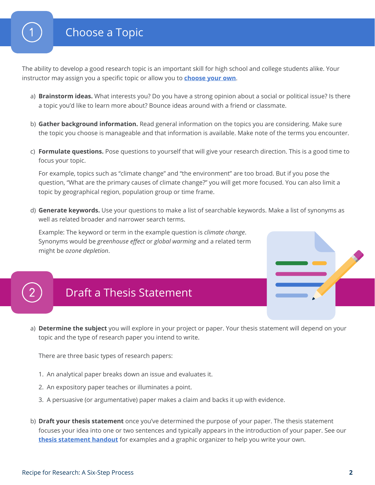The ability to develop a good research topic is an important skill for high school and college students alike. Your instructor may assign you a specific topic or allow you to **[choose your own](https://www.ebsco.com/sites/g/files/nabnos191/files/acquiadam-assets/Topical-Topics-for-Research-Handout.pdf)**.

- a) **Brainstorm ideas.** What interests you? Do you have a strong opinion about a social or political issue? Is there a topic you'd like to learn more about? Bounce ideas around with a friend or classmate.
- b) **Gather background information.** Read general information on the topics you are considering. Make sure the topic you choose is manageable and that information is available. Make note of the terms you encounter.
- c) **Formulate questions.** Pose questions to yourself that will give your research direction. This is a good time to focus your topic.

For example, topics such as "climate change" and "the environment" are too broad. But if you pose the question, "What are the primary causes of climate change?" you will get more focused. You can also limit a topic by geographical region, population group or time frame.

d) **Generate keywords.** Use your questions to make a list of searchable keywords. Make a list of synonyms as well as related broader and narrower search terms.

Example: The keyword or term in the example question is *climate change*. Synonyms would be *greenhouse effect* or *global warming* and a related term might be *ozone depletion*.

# Draft a Thesis Statement

a) **Determine the subject** you will explore in your project or paper. Your thesis statement will depend on your topic and the type of research paper you intend to write.

There are three basic types of research papers:

- 1. An analytical paper breaks down an issue and evaluates it.
- 2. An expository paper teaches or illuminates a point.
- 3. A persuasive (or argumentative) paper makes a claim and backs it up with evidence.
- b) **Draft your thesis statement** once you've determined the purpose of your paper. The thesis statement focuses your idea into one or two sentences and typically appears in the introduction of your paper. See our **[thesis statement handout](https://www.ebsco.com/sites/g/files/nabnos191/files/acquiadam-assets/Thesis-Statements-Handout.pdf)** for examples and a graphic organizer to help you write your own.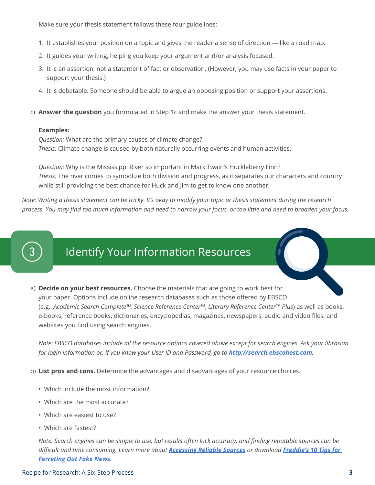Make sure your thesis statement follows these four guidelines:

- 1. It establishes your position on a topic and gives the reader a sense of direction like a road map.
- 2. It guides your writing, helping you keep your argument and/or analysis focused.
- 3. It is an assertion, not a statement of fact or observation. (However, you may use facts in your paper to support your thesis.)
- 4. It is debatable. Someone should be able to argue an opposing position or support your assertions.
- c) **Answer the question** you formulated in Step 1c and make the answer your thesis statement.

#### **Examples:**

*Question:* What are the primary causes of climate change? *Thesis:* Climate change is caused by both naturally occurring events and human activities.

*Question:* Why is the Mississippi River so important in Mark Twain's Huckleberry Finn? *Thesis:* The river comes to symbolize both division and progress, as it separates our characters and country while still providing the best chance for Huck and Jim to get to know one another.

*Note: Writing a thesis statement can be tricky. It's okay to modify your topic or thesis statement during the research process. You may find too much information and need to narrow your focus, or too little and need to broaden your focus.*

## Identify Your Information Resources

a) **Decide on your best resources.** Choose the materials that are going to work best for your paper. Options include online research databases such as those offered by EBSCO (e.g., *Academic Search Complete™, Science Reference Center™*, *Literary Reference Center™ Plus*) as well as books, e-books, reference books, dictionaries, encyclopedias, magazines, newspapers, audio and video files, and websites you find using search engines.

*Note: EBSCO databases include all the resource options covered above except for search engines. Ask your librarian for login information or, if you know your User ID and Password, go to <http://search.ebscohost.com>.*

b) **List pros and cons.** Determine the advantages and disadvantages of your resource choices.

- Which include the most information?
- Which are the most accurate?
- Which are easiest to use?
- Which are fastest?

*Note: Search engines can be simple to use, but results often lack accuracy, and finding reputable sources can be difficult and time consuming. Learn more about [Accessing Reliable Sources](https://www.ebsco.com/sites/g/files/nabnos191/files/acquiadam-assets/Assessing-Trustworthy-Sources-Handout.pdf) or download [Freddie's 10 Tips for](https://eis1.my.salesforce.com/sfc/p/1H000000P2eP/a/1H000000UiC7/lRyxtksAVJPJ2.BhRLR8RPMKtwhmGCDKcDndBcNlck4)  [Ferreting Out Fake News](https://eis1.my.salesforce.com/sfc/p/1H000000P2eP/a/1H000000UiC7/lRyxtksAVJPJ2.BhRLR8RPMKtwhmGCDKcDndBcNlck4).*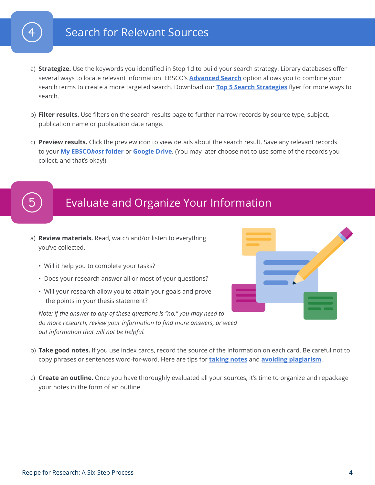## Search for Relevant Sources

- a) **Strategize.** Use the keywords you identified in Step 1d to build your search strategy. Library databases offer several ways to locate relevant information. EBSCO's **[Advanced Search](https://connect.ebsco.com/s/article/Advanced-Search-on-EBSCO-Interfaces-Guided-Style?language=en_US)** option allows you to combine your search terms to create a more targeted search. Download our **[Top 5 Search Strategies](https://www.ebsco.com/sites/g/files/nabnos191/files/acquiadam-assets/Top-Five-Searching-Strategies-Handout.pdf)** flyer for more ways to search.
- b) **Filter results.** Use filters on the search results page to further narrow records by source type, subject, publication name or publication date range.
- c) **Preview results.** Click the preview icon to view details about the search result. Save any relevant records to your **[My EBSCO](https://connect.ebsco.com/s/article/How-to-Use-the-My-EBSCOhost-Folder?language=en_US)***host* **folder** or **[Google Drive](https://connect.ebsco.com/s/article/How-to-Use-Google-Drive-with-EBSCO-Interfaces?language=en_US)**. (You may later choose not to use some of the records you collect, and that's okay!)

#### Evaluate and Organize Your Information

- a) **Review materials.** Read, watch and/or listen to everything you've collected.
	- Will it help you to complete your tasks?
	- Does your research answer all or most of your questions?
	- Will your research allow you to attain your goals and prove the points in your thesis statement?

*Note: If the answer to any of these questions is "no," you may need to do more research, review your information to find more answers, or weed out information that will not be helpful.*

- 
- b) **Take good notes.** If you use index cards, record the source of the information on each card. Be careful not to copy phrases or sentences word-for-word. Here are tips for **[taking notes](https://connect.ebsco.com/s/article/How-to-Take-Good-Notes?language=en_US)** and **[avoiding plagiarism](https://www.ebsco.com/sites/g/files/nabnos191/files/acquiadam-assets/Tips-to-Avoid-Plagiarism-Handout.pdf)**.
- c) **Create an outline.** Once you have thoroughly evaluated all your sources, it's time to organize and repackage your notes in the form of an outline.